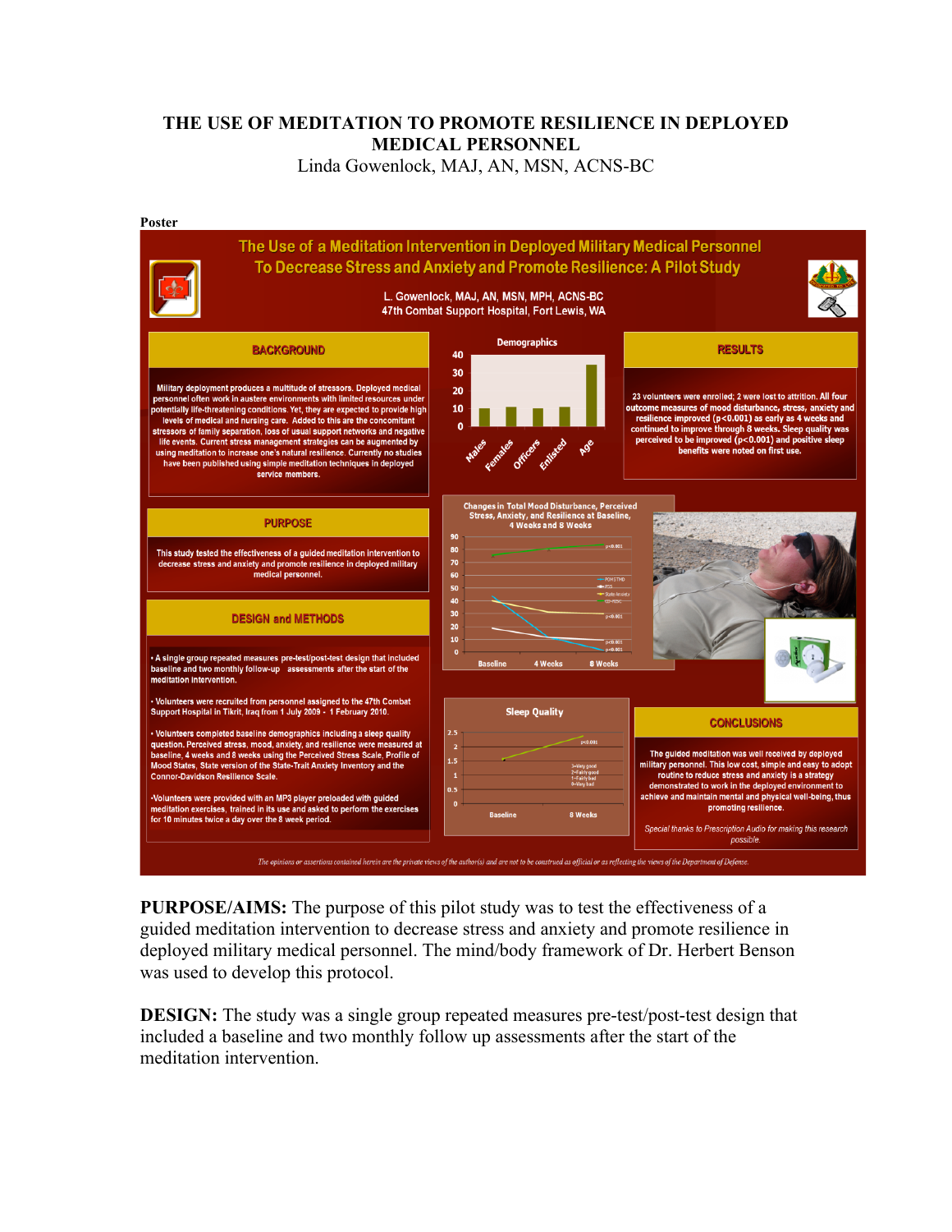## **THE USE OF MEDITATION TO PROMOTE RESILIENCE IN DEPLOYED MEDICAL PERSONNEL**

Linda Gowenlock, MAJ, AN, MSN, ACNS-BC



**PURPOSE/AIMS:** The purpose of this pilot study was to test the effectiveness of a guided meditation intervention to decrease stress and anxiety and promote resilience in deployed military medical personnel. The mind/body framework of Dr. Herbert Benson was used to develop this protocol.

**DESIGN:** The study was a single group repeated measures pre-test/post-test design that included a baseline and two monthly follow up assessments after the start of the meditation intervention.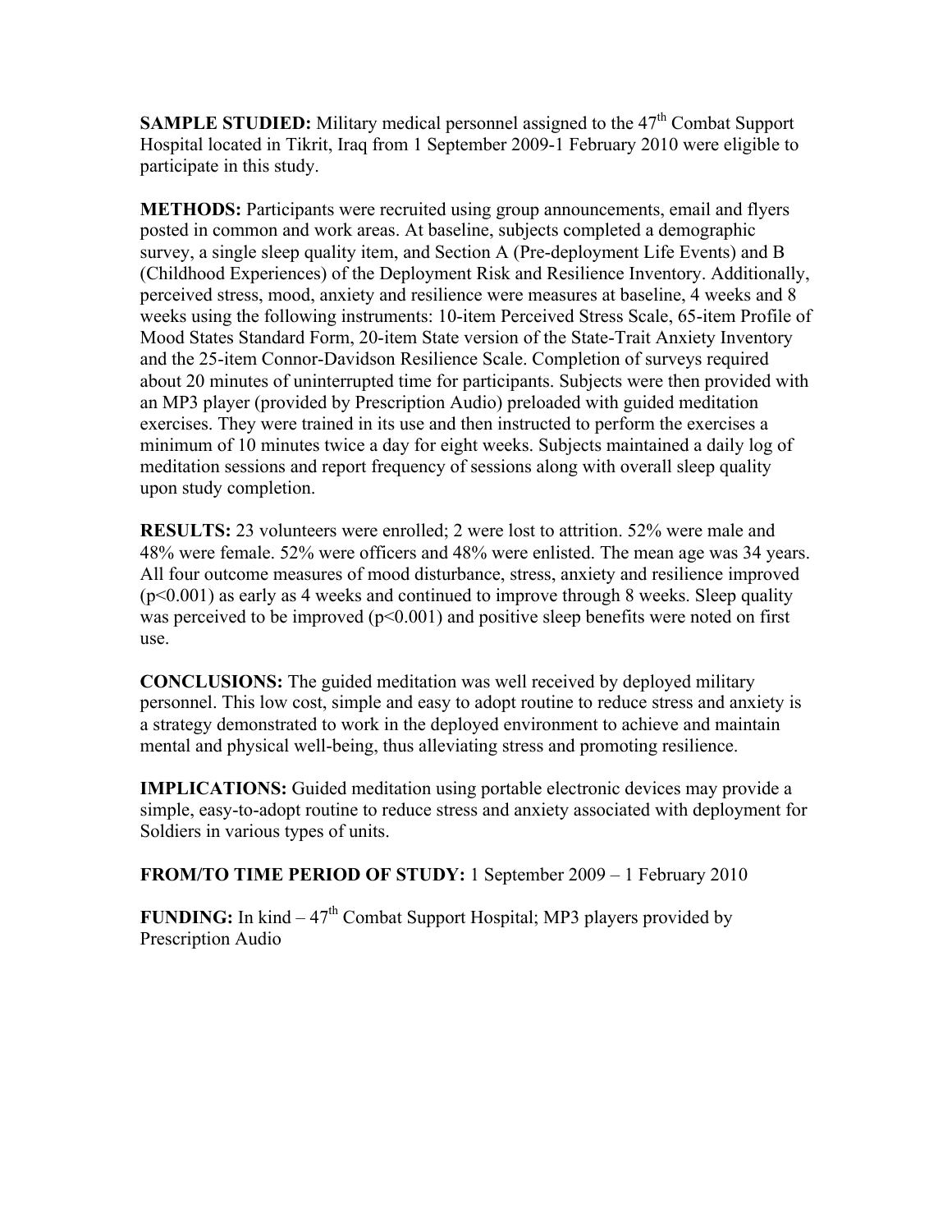**SAMPLE STUDIED:** Military medical personnel assigned to the 47<sup>th</sup> Combat Support Hospital located in Tikrit, Iraq from 1 September 2009-1 February 2010 were eligible to participate in this study.

**METHODS:** Participants were recruited using group announcements, email and flyers posted in common and work areas. At baseline, subjects completed a demographic survey, a single sleep quality item, and Section A (Pre-deployment Life Events) and B (Childhood Experiences) of the Deployment Risk and Resilience Inventory. Additionally, perceived stress, mood, anxiety and resilience were measures at baseline, 4 weeks and 8 weeks using the following instruments: 10-item Perceived Stress Scale, 65-item Profile of Mood States Standard Form, 20-item State version of the State-Trait Anxiety Inventory and the 25-item Connor-Davidson Resilience Scale. Completion of surveys required about 20 minutes of uninterrupted time for participants. Subjects were then provided with an MP3 player (provided by Prescription Audio) preloaded with guided meditation exercises. They were trained in its use and then instructed to perform the exercises a minimum of 10 minutes twice a day for eight weeks. Subjects maintained a daily log of meditation sessions and report frequency of sessions along with overall sleep quality upon study completion.

**RESULTS:** 23 volunteers were enrolled; 2 were lost to attrition. 52% were male and 48% were female. 52% were officers and 48% were enlisted. The mean age was 34 years. All four outcome measures of mood disturbance, stress, anxiety and resilience improved  $(p<0.001)$  as early as 4 weeks and continued to improve through 8 weeks. Sleep quality was perceived to be improved  $(p<0.001)$  and positive sleep benefits were noted on first use.

**CONCLUSIONS:** The guided meditation was well received by deployed military personnel. This low cost, simple and easy to adopt routine to reduce stress and anxiety is a strategy demonstrated to work in the deployed environment to achieve and maintain mental and physical well-being, thus alleviating stress and promoting resilience.

**IMPLICATIONS:** Guided meditation using portable electronic devices may provide a simple, easy-to-adopt routine to reduce stress and anxiety associated with deployment for Soldiers in various types of units.

**FROM/TO TIME PERIOD OF STUDY:** 1 September 2009 – 1 February 2010

**FUNDING:** In kind  $-47<sup>th</sup>$  Combat Support Hospital; MP3 players provided by Prescription Audio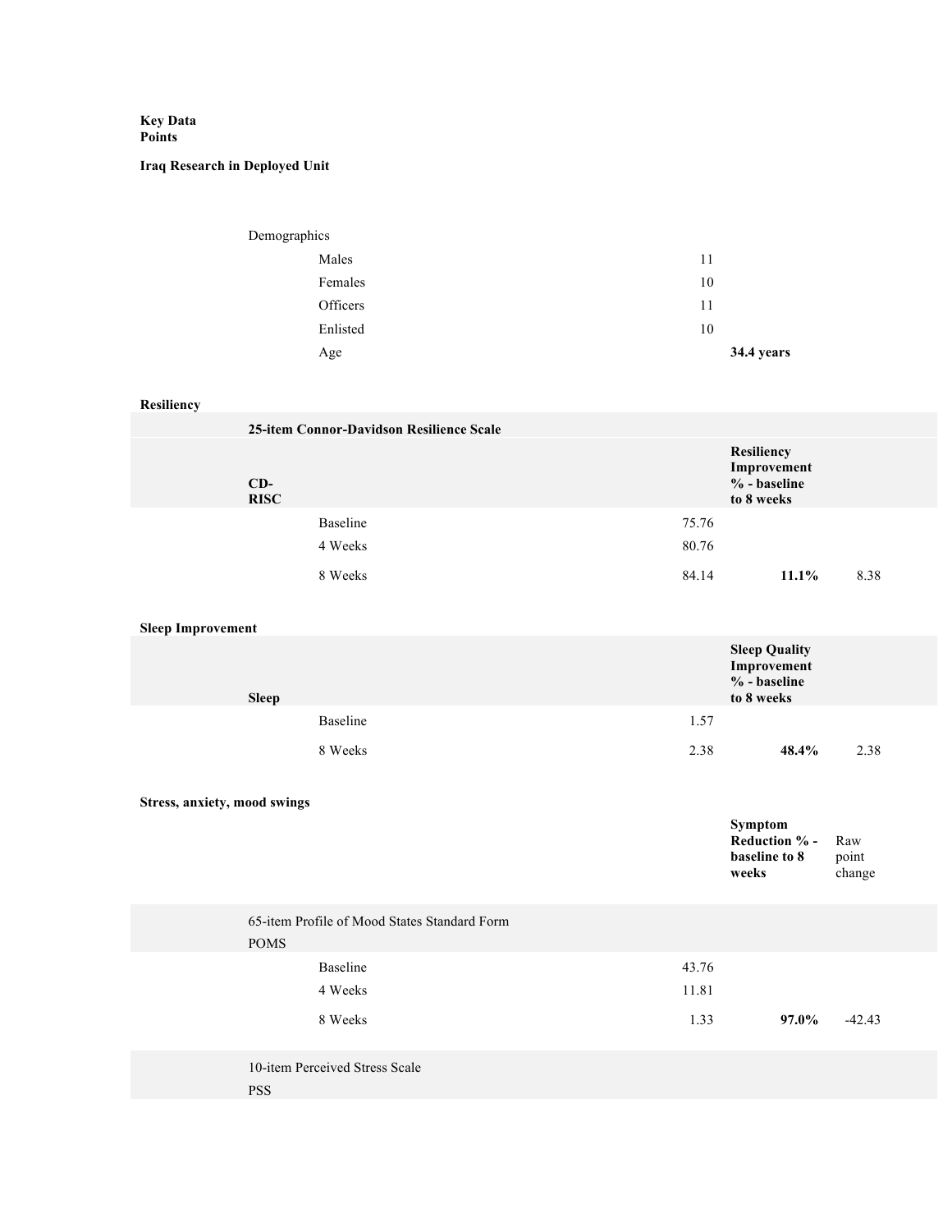## **Key Data Points**

## **Iraq Research in Deployed Unit**

| Demographics |            |
|--------------|------------|
| Males        | 11         |
| Females      | 10         |
| Officers     | 11         |
| Enlisted     | 10         |
| Age          | 34.4 years |

## **Resiliency**

|                              | 25-item Connor-Davidson Resilience Scale     |       |                                                                   |                        |
|------------------------------|----------------------------------------------|-------|-------------------------------------------------------------------|------------------------|
| $CD-$<br><b>RISC</b>         |                                              |       | Resiliency<br>Improvement<br>% - baseline<br>to 8 weeks           |                        |
|                              | Baseline                                     | 75.76 |                                                                   |                        |
|                              | 4 Weeks                                      | 80.76 |                                                                   |                        |
|                              | 8 Weeks                                      | 84.14 | $11.1\%$                                                          | 8.38                   |
| <b>Sleep Improvement</b>     |                                              |       |                                                                   |                        |
| <b>Sleep</b>                 |                                              |       | <b>Sleep Quality</b><br>Improvement<br>% - baseline<br>to 8 weeks |                        |
|                              | Baseline                                     | 1.57  |                                                                   |                        |
|                              | 8 Weeks                                      | 2.38  | 48.4%                                                             | 2.38                   |
| Stress, anxiety, mood swings |                                              |       | Symptom<br>Reduction % -<br>baseline to 8<br>weeks                | Raw<br>point<br>change |
| <b>POMS</b>                  | 65-item Profile of Mood States Standard Form |       |                                                                   |                        |
|                              | Baseline                                     | 43.76 |                                                                   |                        |
|                              | 4 Weeks                                      | 11.81 |                                                                   |                        |
|                              | 8 Weeks                                      | 1.33  | 97.0%                                                             | $-42.43$               |
|                              | 10-item Perceived Stress Scale               |       |                                                                   |                        |

PSS